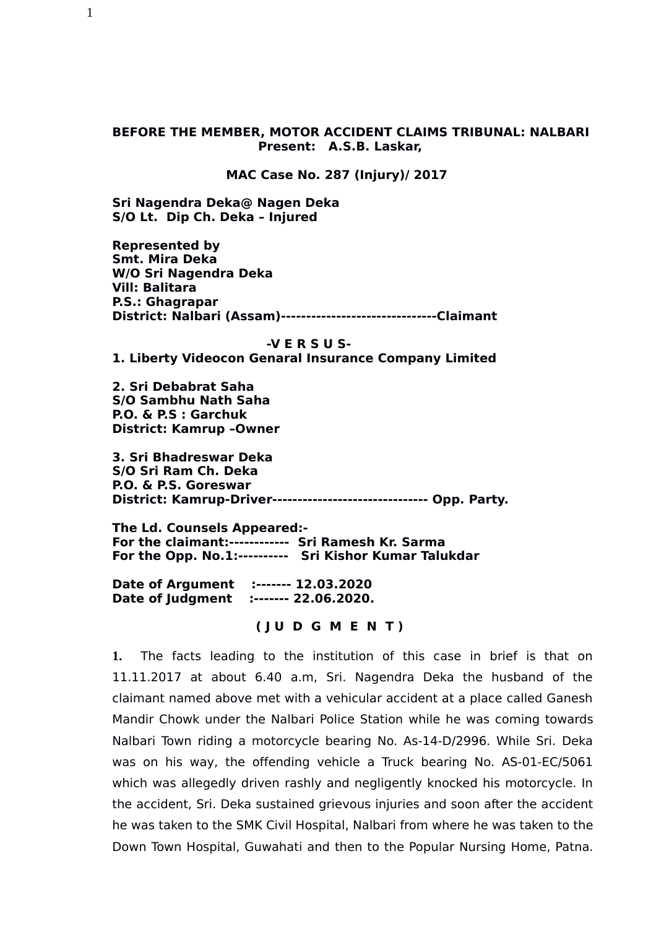## **BEFORE THE MEMBER, MOTOR ACCIDENT CLAIMS TRIBUNAL: NALBARI Present: A.S.B. Laskar,**

 **MAC Case No. 287 (Injury)/ 2017**

**Sri Nagendra Deka@ Nagen Deka S/O Lt. Dip Ch. Deka – Injured**

**Represented by Smt. Mira Deka W/O Sri Nagendra Deka Vill: Balitara P.S.: Ghagrapar District: Nalbari (Assam)-------------------------------Claimant** 

#### **-V E R S U S-**

**1. Liberty Videocon Genaral Insurance Company Limited**

**2. Sri Debabrat Saha S/O Sambhu Nath Saha P.O. & P.S : Garchuk District: Kamrup –Owner**

**3. Sri Bhadreswar Deka S/O Sri Ram Ch. Deka P.O. & P.S. Goreswar District: Kamrup-Driver------------------------------- Opp. Party.**

**The Ld. Counsels Appeared:- For the claimant:------------ Sri Ramesh Kr. Sarma For the Opp. No.1:---------- Sri Kishor Kumar Talukdar**

**Date of Argument :------- 12.03.2020 Date of Judgment :------- 22.06.2020.**

 **( J U D G M E N T )**

**1.** The facts leading to the institution of this case in brief is that on 11.11.2017 at about 6.40 a.m, Sri. Nagendra Deka the husband of the claimant named above met with a vehicular accident at a place called Ganesh Mandir Chowk under the Nalbari Police Station while he was coming towards Nalbari Town riding a motorcycle bearing No. As-14-D/2996. While Sri. Deka was on his way, the offending vehicle a Truck bearing No. AS-01-EC/5061 which was allegedly driven rashly and negligently knocked his motorcycle. In the accident, Sri. Deka sustained grievous injuries and soon after the accident he was taken to the SMK Civil Hospital, Nalbari from where he was taken to the Down Town Hospital, Guwahati and then to the Popular Nursing Home, Patna.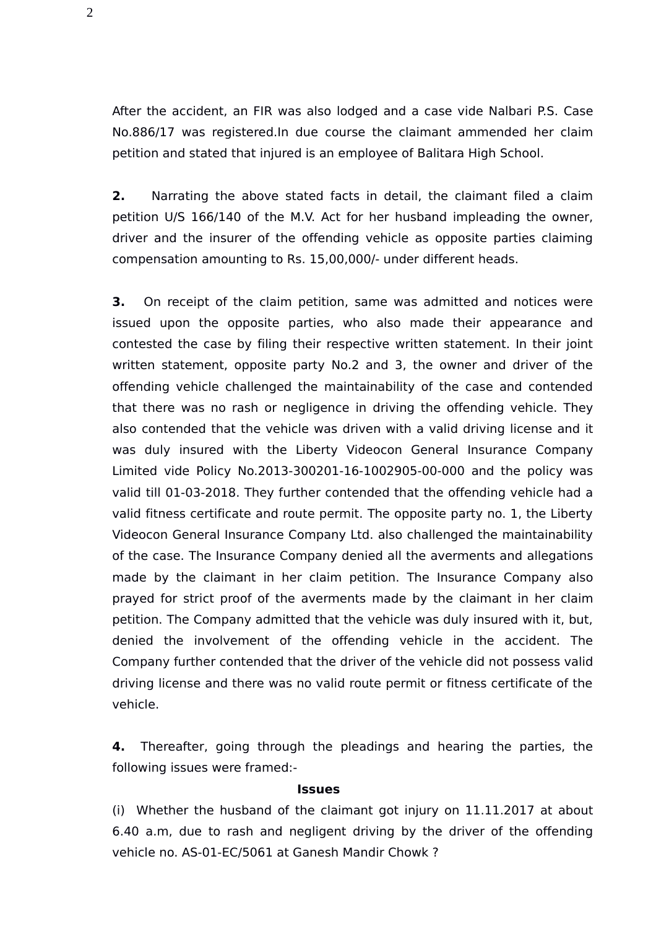After the accident, an FIR was also lodged and a case vide Nalbari P.S. Case No.886/17 was registered.In due course the claimant ammended her claim petition and stated that injured is an employee of Balitara High School.

**2.** Narrating the above stated facts in detail, the claimant filed a claim petition U/S 166/140 of the M.V. Act for her husband impleading the owner, driver and the insurer of the offending vehicle as opposite parties claiming compensation amounting to Rs. 15,00,000/- under different heads.

**3.** On receipt of the claim petition, same was admitted and notices were issued upon the opposite parties, who also made their appearance and contested the case by filing their respective written statement. In their joint written statement, opposite party No.2 and 3, the owner and driver of the offending vehicle challenged the maintainability of the case and contended that there was no rash or negligence in driving the offending vehicle. They also contended that the vehicle was driven with a valid driving license and it was duly insured with the Liberty Videocon General Insurance Company Limited vide Policy No.2013-300201-16-1002905-00-000 and the policy was valid till 01-03-2018. They further contended that the offending vehicle had a valid fitness certificate and route permit. The opposite party no. 1, the Liberty Videocon General Insurance Company Ltd. also challenged the maintainability of the case. The Insurance Company denied all the averments and allegations made by the claimant in her claim petition. The Insurance Company also prayed for strict proof of the averments made by the claimant in her claim petition. The Company admitted that the vehicle was duly insured with it, but, denied the involvement of the offending vehicle in the accident. The Company further contended that the driver of the vehicle did not possess valid driving license and there was no valid route permit or fitness certificate of the vehicle.

**4.** Thereafter, going through the pleadings and hearing the parties, the following issues were framed:-

## **Issues**

(i) Whether the husband of the claimant got injury on 11.11.2017 at about 6.40 a.m, due to rash and negligent driving by the driver of the offending vehicle no. AS-01-EC/5061 at Ganesh Mandir Chowk ?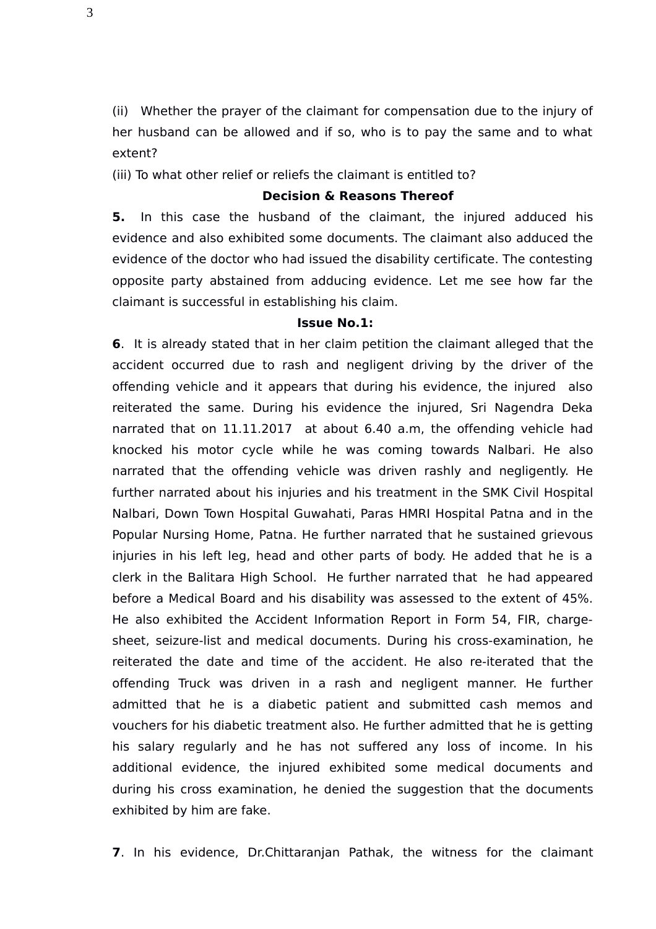(ii) Whether the prayer of the claimant for compensation due to the injury of her husband can be allowed and if so, who is to pay the same and to what extent?

(iii) To what other relief or reliefs the claimant is entitled to?

## **Decision & Reasons Thereof**

**5.** In this case the husband of the claimant, the injured adduced his evidence and also exhibited some documents. The claimant also adduced the evidence of the doctor who had issued the disability certificate. The contesting opposite party abstained from adducing evidence. Let me see how far the claimant is successful in establishing his claim.

#### **Issue No.1:**

**6**. It is already stated that in her claim petition the claimant alleged that the accident occurred due to rash and negligent driving by the driver of the offending vehicle and it appears that during his evidence, the injured also reiterated the same. During his evidence the injured, Sri Nagendra Deka narrated that on 11.11.2017 at about 6.40 a.m, the offending vehicle had knocked his motor cycle while he was coming towards Nalbari. He also narrated that the offending vehicle was driven rashly and negligently. He further narrated about his injuries and his treatment in the SMK Civil Hospital Nalbari, Down Town Hospital Guwahati, Paras HMRI Hospital Patna and in the Popular Nursing Home, Patna. He further narrated that he sustained grievous injuries in his left leg, head and other parts of body. He added that he is a clerk in the Balitara High School. He further narrated that he had appeared before a Medical Board and his disability was assessed to the extent of 45%. He also exhibited the Accident Information Report in Form 54, FIR, chargesheet, seizure-list and medical documents. During his cross-examination, he reiterated the date and time of the accident. He also re-iterated that the offending Truck was driven in a rash and negligent manner. He further admitted that he is a diabetic patient and submitted cash memos and vouchers for his diabetic treatment also. He further admitted that he is getting his salary regularly and he has not suffered any loss of income. In his additional evidence, the injured exhibited some medical documents and during his cross examination, he denied the suggestion that the documents exhibited by him are fake.

**7**. In his evidence, Dr.Chittaranjan Pathak, the witness for the claimant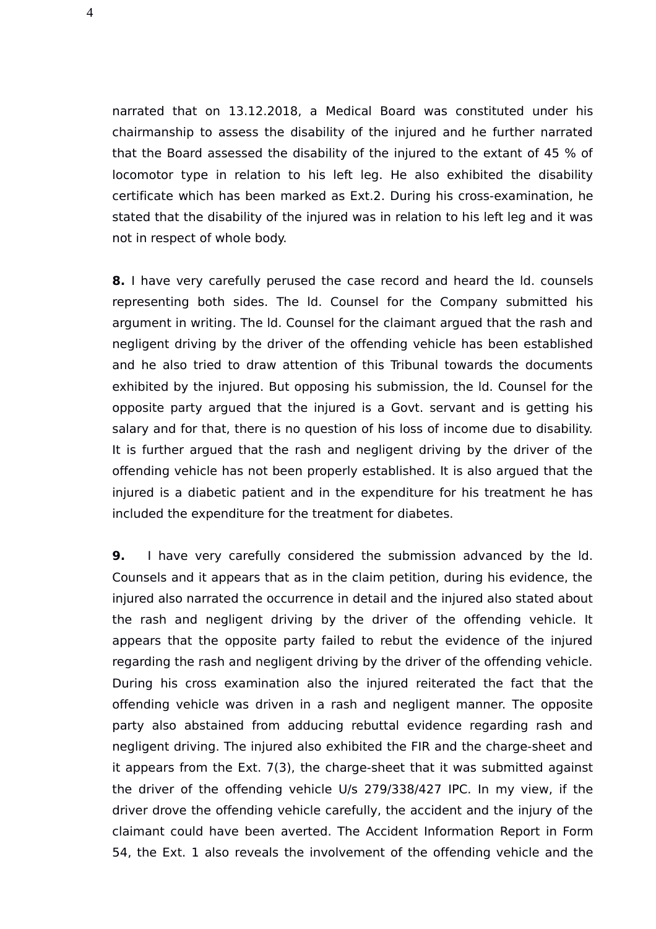narrated that on 13.12.2018, a Medical Board was constituted under his chairmanship to assess the disability of the injured and he further narrated that the Board assessed the disability of the injured to the extant of 45 % of locomotor type in relation to his left leg. He also exhibited the disability certificate which has been marked as Ext.2. During his cross-examination, he stated that the disability of the injured was in relation to his left leg and it was not in respect of whole body.

**8.** I have very carefully perused the case record and heard the ld. counsels representing both sides. The ld. Counsel for the Company submitted his argument in writing. The ld. Counsel for the claimant argued that the rash and negligent driving by the driver of the offending vehicle has been established and he also tried to draw attention of this Tribunal towards the documents exhibited by the injured. But opposing his submission, the ld. Counsel for the opposite party argued that the injured is a Govt. servant and is getting his salary and for that, there is no question of his loss of income due to disability. It is further argued that the rash and negligent driving by the driver of the offending vehicle has not been properly established. It is also argued that the injured is a diabetic patient and in the expenditure for his treatment he has included the expenditure for the treatment for diabetes.

**9.** I have very carefully considered the submission advanced by the ld. Counsels and it appears that as in the claim petition, during his evidence, the injured also narrated the occurrence in detail and the injured also stated about the rash and negligent driving by the driver of the offending vehicle. It appears that the opposite party failed to rebut the evidence of the injured regarding the rash and negligent driving by the driver of the offending vehicle. During his cross examination also the injured reiterated the fact that the offending vehicle was driven in a rash and negligent manner. The opposite party also abstained from adducing rebuttal evidence regarding rash and negligent driving. The injured also exhibited the FIR and the charge-sheet and it appears from the Ext. 7(3), the charge-sheet that it was submitted against the driver of the offending vehicle U/s 279/338/427 IPC. In my view, if the driver drove the offending vehicle carefully, the accident and the injury of the claimant could have been averted. The Accident Information Report in Form 54, the Ext. 1 also reveals the involvement of the offending vehicle and the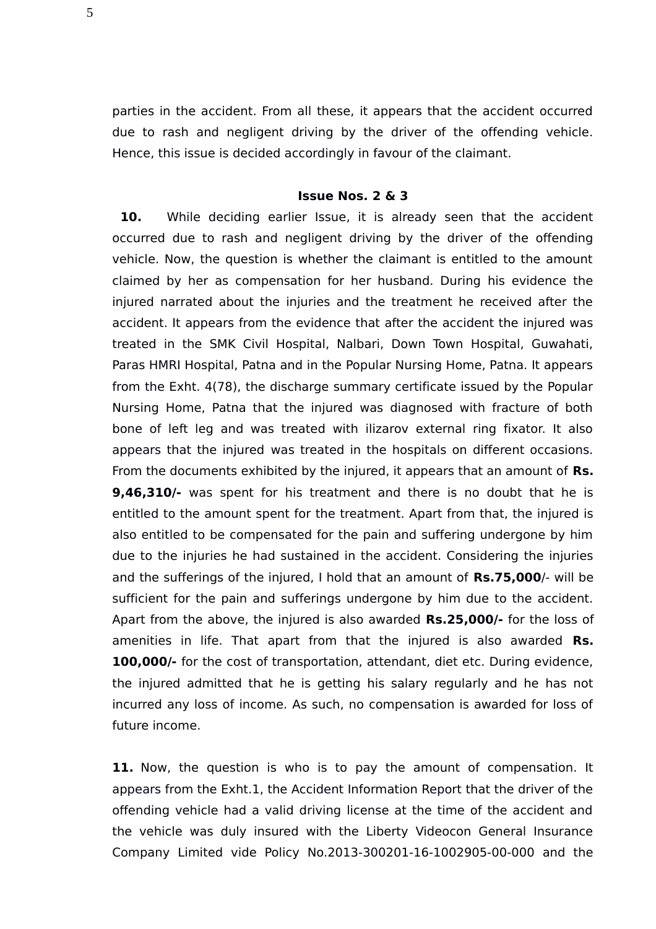parties in the accident. From all these, it appears that the accident occurred due to rash and negligent driving by the driver of the offending vehicle. Hence, this issue is decided accordingly in favour of the claimant.

#### **Issue Nos. 2 & 3**

10. While deciding earlier Issue, it is already seen that the accident occurred due to rash and negligent driving by the driver of the offending vehicle. Now, the question is whether the claimant is entitled to the amount claimed by her as compensation for her husband. During his evidence the injured narrated about the injuries and the treatment he received after the accident. It appears from the evidence that after the accident the injured was treated in the SMK Civil Hospital, Nalbari, Down Town Hospital, Guwahati, Paras HMRI Hospital, Patna and in the Popular Nursing Home, Patna. It appears from the Exht. 4(78), the discharge summary certificate issued by the Popular Nursing Home, Patna that the injured was diagnosed with fracture of both bone of left leg and was treated with ilizarov external ring fixator. It also appears that the injured was treated in the hospitals on different occasions. From the documents exhibited by the injured, it appears that an amount of **Rs. 9,46,310/-** was spent for his treatment and there is no doubt that he is entitled to the amount spent for the treatment. Apart from that, the injured is also entitled to be compensated for the pain and suffering undergone by him due to the injuries he had sustained in the accident. Considering the injuries and the sufferings of the injured, I hold that an amount of **Rs.75,000**/- will be sufficient for the pain and sufferings undergone by him due to the accident. Apart from the above, the injured is also awarded **Rs.25,000/-** for the loss of amenities in life. That apart from that the injured is also awarded **Rs. 100,000/-** for the cost of transportation, attendant, diet etc. During evidence, the injured admitted that he is getting his salary regularly and he has not incurred any loss of income. As such, no compensation is awarded for loss of future income.

**11.** Now, the question is who is to pay the amount of compensation. It appears from the Exht.1, the Accident Information Report that the driver of the offending vehicle had a valid driving license at the time of the accident and the vehicle was duly insured with the Liberty Videocon General Insurance Company Limited vide Policy No.2013-300201-16-1002905-00-000 and the

5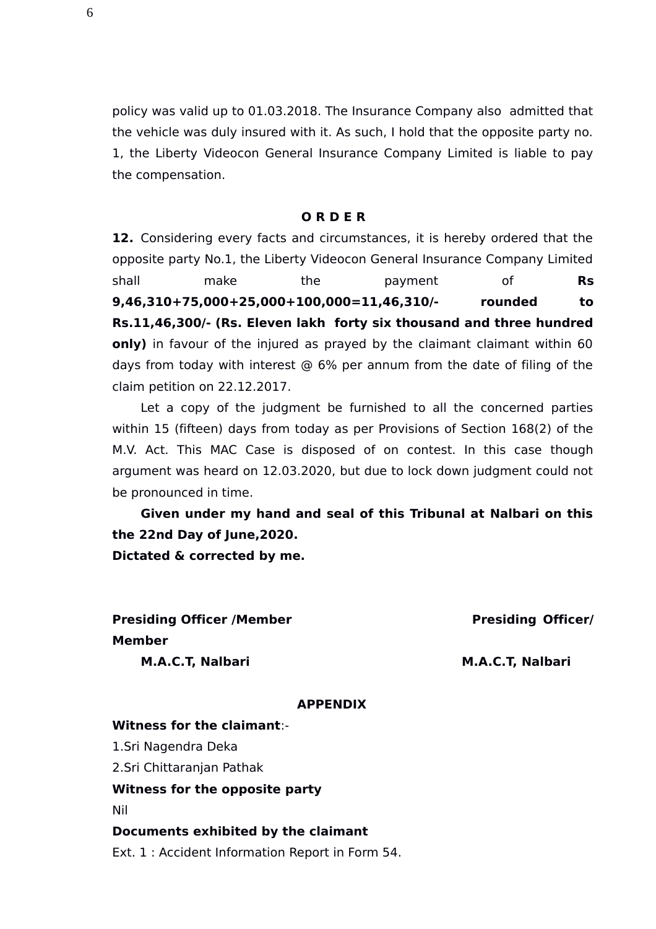policy was valid up to 01.03.2018. The Insurance Company also admitted that the vehicle was duly insured with it. As such, I hold that the opposite party no. 1, the Liberty Videocon General Insurance Company Limited is liable to pay the compensation.

#### **O R D E R**

**12.** Considering every facts and circumstances, it is hereby ordered that the opposite party No.1, the Liberty Videocon General Insurance Company Limited shall make the payment of **Rs 9,46,310+75,000+25,000+100,000=11,46,310/- rounded to Rs.11,46,300/- (Rs. Eleven lakh forty six thousand and three hundred only)** in favour of the injured as prayed by the claimant claimant within 60 days from today with interest @ 6% per annum from the date of filing of the claim petition on 22.12.2017.

Let a copy of the judgment be furnished to all the concerned parties within 15 (fifteen) days from today as per Provisions of Section 168(2) of the M.V. Act. This MAC Case is disposed of on contest. In this case though argument was heard on 12.03.2020, but due to lock down judgment could not be pronounced in time.

**Given under my hand and seal of this Tribunal at Nalbari on this the 22nd Day of June,2020. Dictated & corrected by me.** 

**Presiding Officer /Member Presiding Officer/ Member M.A.C.T. Nalbari M.A.C.T. Nalbari** 

## **APPENDIX**

#### **Witness for the claimant**:-

1.Sri Nagendra Deka

2.Sri Chittaranjan Pathak

## **Witness for the opposite party**

Nil

#### **Documents exhibited by the claimant**

Ext. 1 : Accident Information Report in Form 54.